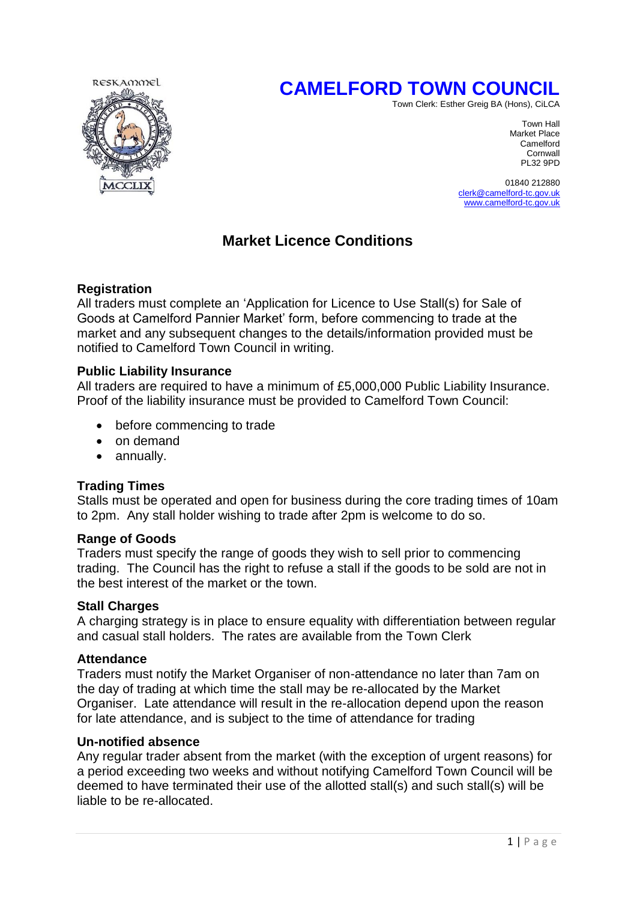# **CAMELFORD TOWN COUNCIL**



Town Clerk: Esther Greig BA (Hons), CiLCA

Town Hall Market Place Camelford Cornwall<br>PL32 9PD PL32 9PD

> 01840 212880 [clerk@camelford-tc.gov.uk](mailto:clerk@camelford-tc.gov.uk) [www.camelford-tc.gov.uk](http://www.camelfordtown.net/)

# **Market Licence Conditions**

# **Registration**

All traders must complete an 'Application for Licence to Use Stall(s) for Sale of Goods at Camelford Pannier Market' form, before commencing to trade at the market and any subsequent changes to the details/information provided must be notified to Camelford Town Council in writing.

### **Public Liability Insurance**

All traders are required to have a minimum of £5,000,000 Public Liability Insurance. Proof of the liability insurance must be provided to Camelford Town Council:

- before commencing to trade
- on demand
- annually.

# **Trading Times**

Stalls must be operated and open for business during the core trading times of 10am to 2pm. Any stall holder wishing to trade after 2pm is welcome to do so.

#### **Range of Goods**

Traders must specify the range of goods they wish to sell prior to commencing trading. The Council has the right to refuse a stall if the goods to be sold are not in the best interest of the market or the town.

#### **Stall Charges**

A charging strategy is in place to ensure equality with differentiation between regular and casual stall holders. The rates are available from the Town Clerk

#### **Attendance**

Traders must notify the Market Organiser of non-attendance no later than 7am on the day of trading at which time the stall may be re-allocated by the Market Organiser. Late attendance will result in the re-allocation depend upon the reason for late attendance, and is subject to the time of attendance for trading

#### **Un-notified absence**

Any regular trader absent from the market (with the exception of urgent reasons) for a period exceeding two weeks and without notifying Camelford Town Council will be deemed to have terminated their use of the allotted stall(s) and such stall(s) will be liable to be re-allocated.